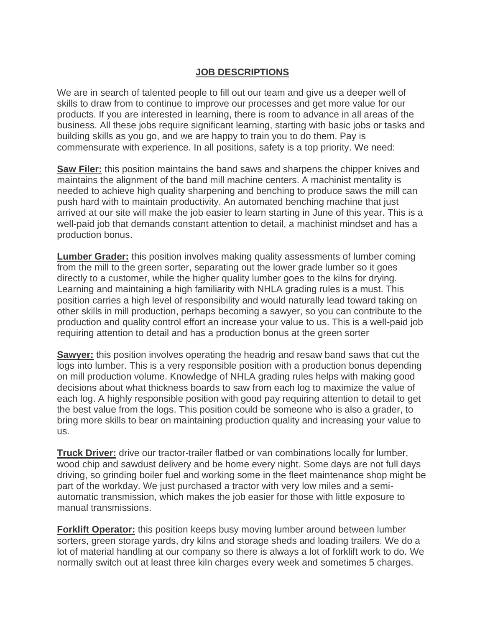## **JOB DESCRIPTIONS**

We are in search of talented people to fill out our team and give us a deeper well of skills to draw from to continue to improve our processes and get more value for our products. If you are interested in learning, there is room to advance in all areas of the business. All these jobs require significant learning, starting with basic jobs or tasks and building skills as you go, and we are happy to train you to do them. Pay is commensurate with experience. In all positions, safety is a top priority. We need:

**Saw Filer:** this position maintains the band saws and sharpens the chipper knives and maintains the alignment of the band mill machine centers. A machinist mentality is needed to achieve high quality sharpening and benching to produce saws the mill can push hard with to maintain productivity. An automated benching machine that just arrived at our site will make the job easier to learn starting in June of this year. This is a well-paid job that demands constant attention to detail, a machinist mindset and has a production bonus.

**Lumber Grader:** this position involves making quality assessments of lumber coming from the mill to the green sorter, separating out the lower grade lumber so it goes directly to a customer, while the higher quality lumber goes to the kilns for drying. Learning and maintaining a high familiarity with NHLA grading rules is a must. This position carries a high level of responsibility and would naturally lead toward taking on other skills in mill production, perhaps becoming a sawyer, so you can contribute to the production and quality control effort an increase your value to us. This is a well-paid job requiring attention to detail and has a production bonus at the green sorter

**Sawyer:** this position involves operating the headrig and resaw band saws that cut the logs into lumber. This is a very responsible position with a production bonus depending on mill production volume. Knowledge of NHLA grading rules helps with making good decisions about what thickness boards to saw from each log to maximize the value of each log. A highly responsible position with good pay requiring attention to detail to get the best value from the logs. This position could be someone who is also a grader, to bring more skills to bear on maintaining production quality and increasing your value to us.

**Truck Driver:** drive our tractor-trailer flatbed or van combinations locally for lumber, wood chip and sawdust delivery and be home every night. Some days are not full days driving, so grinding boiler fuel and working some in the fleet maintenance shop might be part of the workday. We just purchased a tractor with very low miles and a semiautomatic transmission, which makes the job easier for those with little exposure to manual transmissions.

**Forklift Operator:** this position keeps busy moving lumber around between lumber sorters, green storage yards, dry kilns and storage sheds and loading trailers. We do a lot of material handling at our company so there is always a lot of forklift work to do. We normally switch out at least three kiln charges every week and sometimes 5 charges.